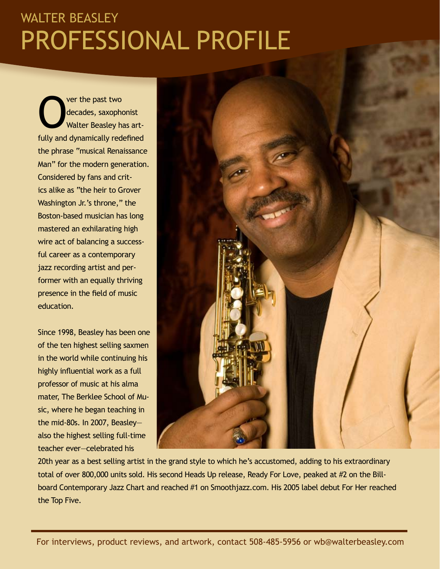# Professional Profile WALTER BEASLEY

Ver the past two<br>decades, saxopho<br>Walter Beasley ha decades, saxophonist Walter Beasley has artfully and dynamically redefined the phrase "musical Renaissance Man" for the modern generation. Considered by fans and critics alike as "the heir to Grover Washington Jr.'s throne," the Boston-based musician has long mastered an exhilarating high wire act of balancing a successful career as a contemporary jazz recording artist and performer with an equally thriving presence in the field of music education.

Since 1998, Beasley has been one of the ten highest selling saxmen in the world while continuing his highly influential work as a full professor of music at his alma mater, The Berklee School of Music, where he began teaching in the mid-80s. In 2007, Beasley also the highest selling full-time teacher ever—celebrated his



20th year as a best selling artist in the grand style to which he's accustomed, adding to his extraordinary total of over 800,000 units sold. His second Heads Up release, Ready For Love, peaked at #2 on the Billboard Contemporary Jazz Chart and reached #1 on Smoothjazz.com. His 2005 label debut For Her reached the Top Five.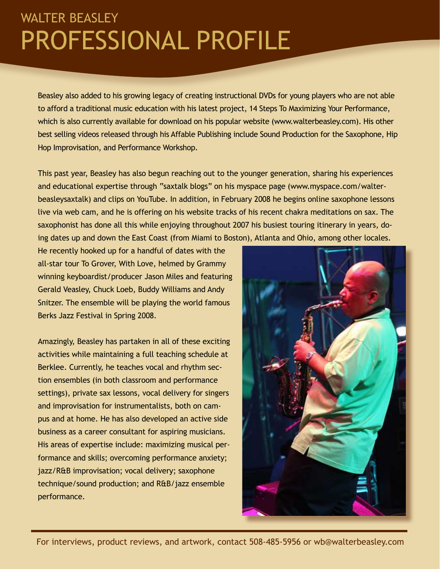# Professional Profile walter beasley

Beasley also added to his growing legacy of creating instructional DVDs for young players who are not able to afford a traditional music education with his latest project, 14 Steps To Maximizing Your Performance, which is also currently available for download on his popular website (www.walterbeasley.com). His other best selling videos released through his Affable Publishing include Sound Production for the Saxophone, Hip Hop Improvisation, and Performance Workshop.

This past year, Beasley has also begun reaching out to the younger generation, sharing his experiences and educational expertise through "saxtalk blogs" on his myspace page (www.myspace.com/walterbeasleysaxtalk) and clips on YouTube. In addition, in February 2008 he begins online saxophone lessons live via web cam, and he is offering on his website tracks of his recent chakra meditations on sax. The saxophonist has done all this while enjoying throughout 2007 his busiest touring itinerary in years, doing dates up and down the East Coast (from Miami to Boston), Atlanta and Ohio, among other locales.

He recently hooked up for a handful of dates with the all-star tour To Grover, With Love, helmed by Grammy winning keyboardist/producer Jason Miles and featuring Gerald Veasley, Chuck Loeb, Buddy Williams and Andy Snitzer. The ensemble will be playing the world famous Berks Jazz Festival in Spring 2008.

Amazingly, Beasley has partaken in all of these exciting activities while maintaining a full teaching schedule at Berklee. Currently, he teaches vocal and rhythm section ensembles (in both classroom and performance settings), private sax lessons, vocal delivery for singers and improvisation for instrumentalists, both on campus and at home. He has also developed an active side business as a career consultant for aspiring musicians. His areas of expertise include: maximizing musical performance and skills; overcoming performance anxiety; jazz/R&B improvisation; vocal delivery; saxophone technique/sound production; and R&B/jazz ensemble performance.

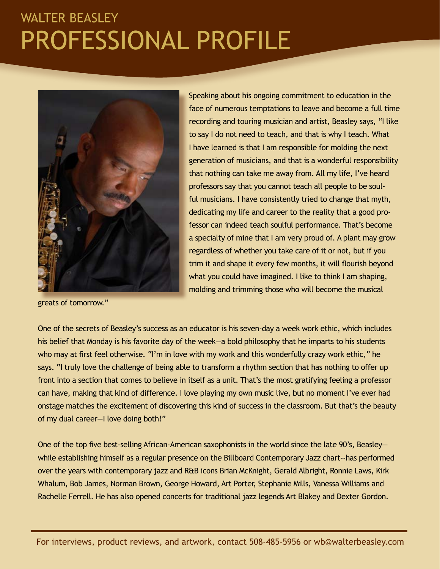# Professional Profile WALTER BEASLEY



greats of tomorrow."

Speaking about his ongoing commitment to education in the face of numerous temptations to leave and become a full time recording and touring musician and artist, Beasley says, "I like to say I do not need to teach, and that is why I teach. What I have learned is that I am responsible for molding the next generation of musicians, and that is a wonderful responsibility that nothing can take me away from. All my life, I've heard professors say that you cannot teach all people to be soulful musicians. I have consistently tried to change that myth, dedicating my life and career to the reality that a good professor can indeed teach soulful performance. That's become a specialty of mine that I am very proud of. A plant may grow regardless of whether you take care of it or not, but if you trim it and shape it every few months, it will flourish beyond what you could have imagined. I like to think I am shaping, molding and trimming those who will become the musical

One of the secrets of Beasley's success as an educator is his seven-day a week work ethic, which includes his belief that Monday is his favorite day of the week—a bold philosophy that he imparts to his students who may at first feel otherwise. "I'm in love with my work and this wonderfully crazy work ethic," he says. "I truly love the challenge of being able to transform a rhythm section that has nothing to offer up front into a section that comes to believe in itself as a unit. That's the most gratifying feeling a professor can have, making that kind of difference. I love playing my own music live, but no moment I've ever had onstage matches the excitement of discovering this kind of success in the classroom. But that's the beauty of my dual career—I love doing both!"

One of the top five best-selling African-American saxophonists in the world since the late 90's, Beasley while establishing himself as a regular presence on the Billboard Contemporary Jazz chart--has performed over the years with contemporary jazz and R&B icons Brian McKnight, Gerald Albright, Ronnie Laws, Kirk Whalum, Bob James, Norman Brown, George Howard, Art Porter, Stephanie Mills, Vanessa Williams and Rachelle Ferrell. He has also opened concerts for traditional jazz legends Art Blakey and Dexter Gordon.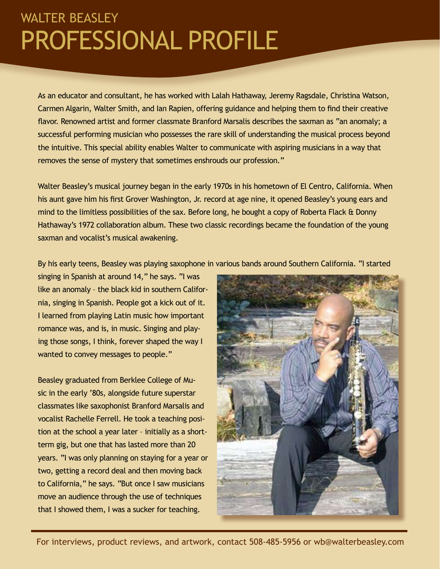# Professional Profile walter beasley

As an educator and consultant, he has worked with Lalah Hathaway, Jeremy Ragsdale, Christina Watson, Carmen Algarin, Walter Smith, and Ian Rapien, offering guidance and helping them to find their creative flavor. Renowned artist and former classmate Branford Marsalis describes the saxman as "an anomaly; a successful performing musician who possesses the rare skill of understanding the musical process beyond the intuitive. This special ability enables Walter to communicate with aspiring musicians in a way that removes the sense of mystery that sometimes enshrouds our profession."

Walter Beasley's musical journey began in the early 1970s in his hometown of El Centro, California. When his aunt gave him his first Grover Washington, Jr. record at age nine, it opened Beasley's young ears and mind to the limitless possibilities of the sax. Before long, he bought a copy of Roberta Flack & Donny Hathaway's 1972 collaboration album. These two classic recordings became the foundation of the young saxman and vocalist's musical awakening.

By his early teens, Beasley was playing saxophone in various bands around Southern California. "I started

singing in Spanish at around 14," he says. "I was like an anomaly – the black kid in southern California, singing in Spanish. People got a kick out of it. I learned from playing Latin music how important romance was, and is, in music. Singing and playing those songs, I think, forever shaped the way I wanted to convey messages to people."

Beasley graduated from Berklee College of Music in the early '80s, alongside future superstar classmates like saxophonist Branford Marsalis and vocalist Rachelle Ferrell. He took a teaching position at the school a year later – initially as a shortterm gig, but one that has lasted more than 20 years. "I was only planning on staying for a year or two, getting a record deal and then moving back to California," he says. "But once I saw musicians move an audience through the use of techniques that I showed them, I was a sucker for teaching.

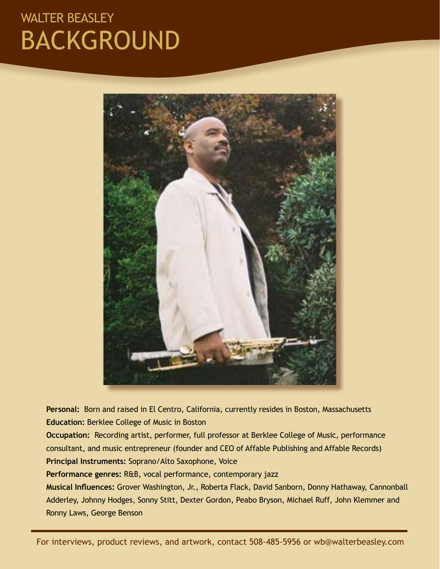### WALTER BEASLEY Background



Personal: Born and raised in El Centro, California, currently resides in Boston, Massachusetts **Education:** Berklee College of Music in Boston

**Occupation:** Recording artist, performer, full professor at Berklee College of Music, performance consultant, and music entrepreneur (founder and CEO of Affable Publishing and Affable Records) **Principal Instruments:** Soprano/Alto Saxophone, Voice

**Performance genres:** R&B, vocal performance, contemporary jazz

**Musical Influences:** Grover Washington, Jr., Roberta Flack, David Sanborn, Donny Hathaway, Cannonball Adderley, Johnny Hodges, Sonny Stitt, Dexter Gordon, Peabo Bryson, Michael Ruff, John Klemmer and Ronny Laws, George Benson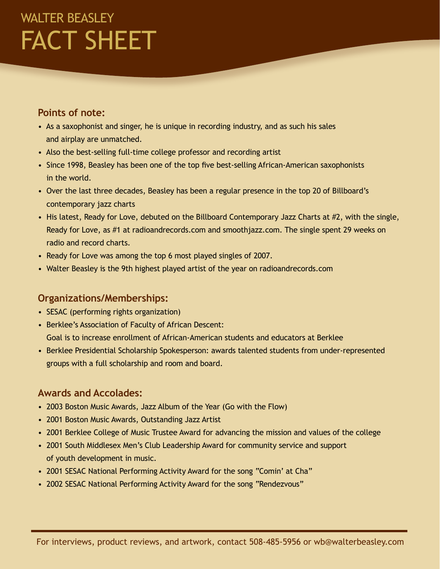# WALTER BEASLEY fact sheet

#### **Points of note:**

- As a saxophonist and singer, he is unique in recording industry, and as such his sales and airplay are unmatched.
- Also the best-selling full-time college professor and recording artist
- Since 1998, Beasley has been one of the top five best-selling African-American saxophonists in the world.
- Over the last three decades, Beasley has been a regular presence in the top 20 of Billboard's contemporary jazz charts
- His latest, Ready for Love, debuted on the Billboard Contemporary Jazz Charts at #2, with the single, Ready for Love, as #1 at radioandrecords.com and smoothjazz.com. The single spent 29 weeks on radio and record charts.
- Ready for Love was among the top 6 most played singles of 2007.
- Walter Beasley is the 9th highest played artist of the year on radioandrecords.com

#### **Organizations/Memberships:**

- SESAC (performing rights organization)
- Berklee's Association of Faculty of African Descent: Goal is to increase enrollment of African-American students and educators at Berklee
- Berklee Presidential Scholarship Spokesperson: awards talented students from under-represented groups with a full scholarship and room and board.

#### **Awards and Accolades:**

- 2003 Boston Music Awards, Jazz Album of the Year (Go with the Flow)
- 2001 Boston Music Awards, Outstanding Jazz Artist
- 2001 Berklee College of Music Trustee Award for advancing the mission and values of the college
- 2001 South Middlesex Men's Club Leadership Award for community service and support of youth development in music.
- 2001 SESAC National Performing Activity Award for the song "Comin' at Cha"
- 2002 SESAC National Performing Activity Award for the song "Rendezvous"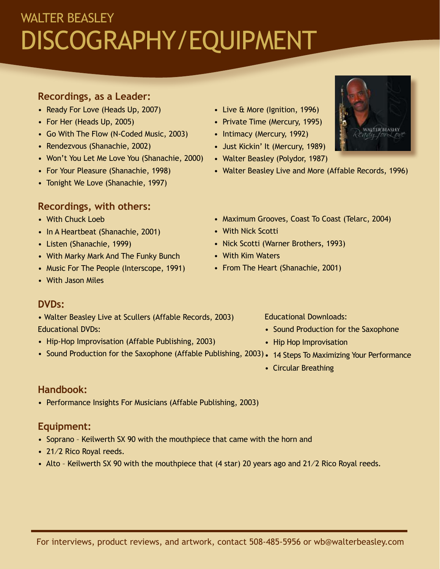# WALTER BEASLEY Discography/equipment

#### **Recordings, as a Leader:**

- Ready For Love (Heads Up, 2007)
- For Her (Heads Up, 2005)
- Go With The Flow (N-Coded Music, 2003)
- Rendezvous (Shanachie, 2002)
- Won't You Let Me Love You (Shanachie, 2000)
- For Your Pleasure (Shanachie, 1998)
- Tonight We Love (Shanachie, 1997)

### **Recordings, with others:**

- With Chuck Loeb
- In A Heartbeat (Shanachie, 2001)
- Listen (Shanachie, 1999)
- With Marky Mark And The Funky Bunch
- Music For The People (Interscope, 1991)
- With Jason Miles

#### **DVDs:**

- Walter Beasley Live at Scullers (Affable Records, 2003) Educational DVDs:
- Hip-Hop Improvisation (Affable Publishing, 2003)
- Sound Production for the Saxophone (Affable Publishing, 2003) 14 Steps To Maximizing Your Performance

#### **Handbook:**

• Performance Insights For Musicians (Affable Publishing, 2003)

### **Equipment:**

- Soprano Keilwerth SX 90 with the mouthpiece that came with the horn and
- 21/2 Rico Royal reeds.
- Alto Keilwerth SX 90 with the mouthpiece that (4 star) 20 years ago and 21/2 Rico Royal reeds.
- Live & More (Ignition, 1996)
- Private Time (Mercury, 1995)
- Intimacy (Mercury, 1992)
- Just Kickin' It (Mercury, 1989)
- Walter Beasley (Polydor, 1987)
- Walter Beasley Live and More (Affable Records, 1996)
- Maximum Grooves, Coast To Coast (Telarc, 2004)
- With Nick Scotti
- Nick Scotti (Warner Brothers, 1993)
- With Kim Waters
- From The Heart (Shanachie, 2001)

#### Educational Downloads:

- Sound Production for the Saxophone
- Hip Hop Improvisation
- 
- Circular Breathing

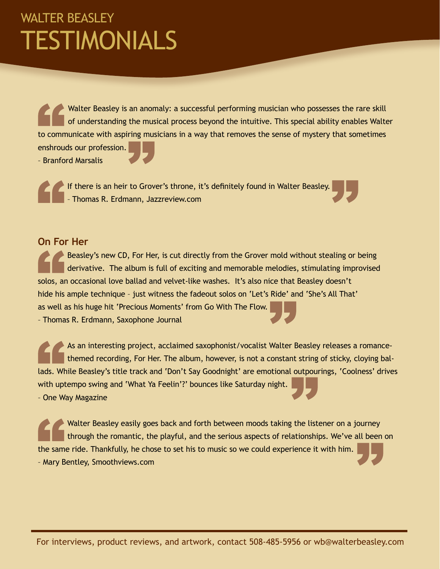### WALTER BEASLEY Testimonials

Walter Beasley is an anomaly: a successful performing musician who possesses the rare skill of understanding the musical process beyond the intuitive. This special ability enables Walter to communicate with aspiring musicians in a way that removes the sense of mystery that sometimes enshrouds our profession. – Branford Marsalis

If there is an heir to Grover's throne, it's definitely found in Walter Beasley. – Thomas R. Erdmann, Jazzreview.com

#### **On For Her**

Beasley's new CD, For Her, is cut directly from the Grover mold without stealing or being derivative. The album is full of exciting and memorable melodies, stimulating improvised solos, an occasional love ballad and velvet-like washes. It's also nice that Beasley doesn't hide his ample technique – just witness the fadeout solos on 'Let's Ride' and 'She's All That' as well as his huge hit 'Precious Moments' from Go With The Flow. – Thomas R. Erdmann, Saxophone Journal

As an interesting project, acclaimed saxophonist/vocalist Walter Beasley releases a romancethemed recording, For Her. The album, however, is not a constant string of sticky, cloying ballads. While Beasley's title track and 'Don't Say Goodnight' are emotional outpourings, 'Coolness' drives with uptempo swing and 'What Ya Feelin'?' bounces like Saturday night. – One Way Magazine

Walter Beasley easily goes back and forth between moods taking the listener on a journey through the romantic, the playful, and the serious aspects of relationships. We've all been on the same ride. Thankfully, he chose to set his to music so we could experience it with him. – Mary Bentley, Smoothviews.com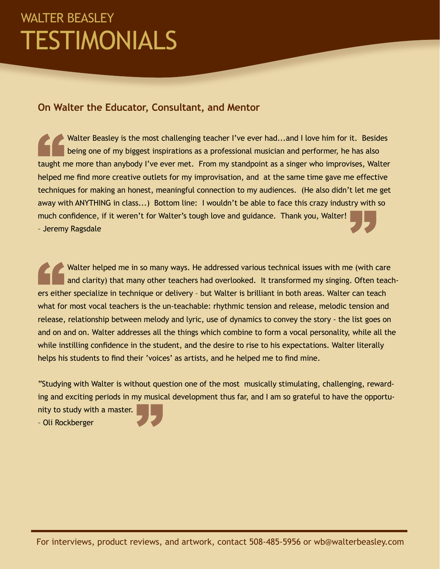### WALTER BEASLEY **TESTIMONIALS**

#### **On Walter the Educator, Consultant, and Mentor**

Walter Beasley is the most challenging teacher I've ever had...and I love him for it. Besides being one of my biggest inspirations as a professional musician and performer, he has also taught me more than anybody I've ever met. From my standpoint as a singer who improvises, Walter helped me find more creative outlets for my improvisation, and at the same time gave me effective techniques for making an honest, meaningful connection to my audiences. (He also didn't let me get away with ANYTHING in class...) Bottom line: I wouldn't be able to face this crazy industry with so much confidence, if it weren't for Walter's tough love and guidance. Thank you, Walter! – Jeremy Ragsdale

Walter helped me in so many ways. He addressed various technical issues with me (with care and clarity) that many other teachers had overlooked. It transformed my singing. Often teachers either specialize in technique or delivery – but Walter is brilliant in both areas. Walter can teach what for most vocal teachers is the un-teachable: rhythmic tension and release, melodic tension and release, relationship between melody and lyric, use of dynamics to convey the story - the list goes on and on and on. Walter addresses all the things which combine to form a vocal personality, while all the while instilling confidence in the student, and the desire to rise to his expectations. Walter literally helps his students to find their 'voices' as artists, and he helped me to find mine.

"Studying with Walter is without question one of the most musically stimulating, challenging, rewarding and exciting periods in my musical development thus far, and I am so grateful to have the opportunity to study with a master. – Oli Rockberger